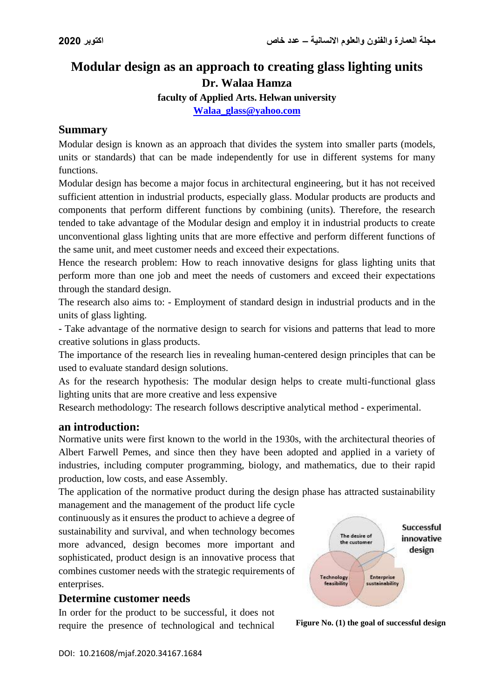# **Modular design as an approach to creating glass lighting units Dr. Walaa Hamza**

**faculty of Applied Arts. Helwan university**

**[Walaa\\_glass@yahoo.com](mailto:Walaa_glass@yahoo.com)**

## **Summary**

Modular design is known as an approach that divides the system into smaller parts (models, units or standards) that can be made independently for use in different systems for many functions.

Modular design has become a major focus in architectural engineering, but it has not received sufficient attention in industrial products, especially glass. Modular products are products and components that perform different functions by combining (units). Therefore, the research tended to take advantage of the Modular design and employ it in industrial products to create unconventional glass lighting units that are more effective and perform different functions of the same unit, and meet customer needs and exceed their expectations.

Hence the research problem: How to reach innovative designs for glass lighting units that perform more than one job and meet the needs of customers and exceed their expectations through the standard design.

The research also aims to: - Employment of standard design in industrial products and in the units of glass lighting.

- Take advantage of the normative design to search for visions and patterns that lead to more creative solutions in glass products.

The importance of the research lies in revealing human-centered design principles that can be used to evaluate standard design solutions.

As for the research hypothesis: The modular design helps to create multi-functional glass lighting units that are more creative and less expensive

Research methodology: The research follows descriptive analytical method - experimental.

### **an introduction:**

Normative units were first known to the world in the 1930s, with the architectural theories of Albert Farwell Pemes, and since then they have been adopted and applied in a variety of industries, including computer programming, biology, and mathematics, due to their rapid production, low costs, and ease Assembly.

The application of the normative product during the design phase has attracted sustainability

management and the management of the product life cycle continuously as it ensures the product to achieve a degree of sustainability and survival, and when technology becomes more advanced, design becomes more important and sophisticated, product design is an innovative process that combines customer needs with the strategic requirements of enterprises.

### **Determine customer needs**

In order for the product to be successful, it does not require the presence of technological and technical **Figure No. (1) the goal of successful design**

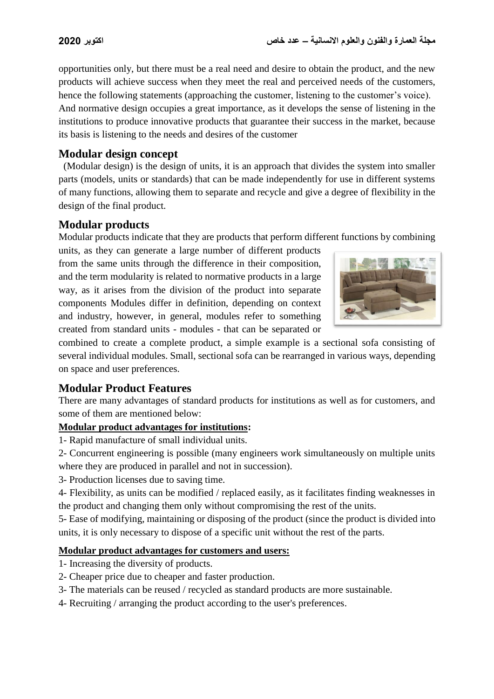opportunities only, but there must be a real need and desire to obtain the product, and the new products will achieve success when they meet the real and perceived needs of the customers, hence the following statements (approaching the customer, listening to the customer's voice). And normative design occupies a great importance, as it develops the sense of listening in the institutions to produce innovative products that guarantee their success in the market, because its basis is listening to the needs and desires of the customer

## **Modular design concept**

 (Modular design) is the design of units, it is an approach that divides the system into smaller parts (models, units or standards) that can be made independently for use in different systems of many functions, allowing them to separate and recycle and give a degree of flexibility in the design of the final product.

## **Modular products**

Modular products indicate that they are products that perform different functions by combining

units, as they can generate a large number of different products from the same units through the difference in their composition, and the term modularity is related to normative products in a large way, as it arises from the division of the product into separate components Modules differ in definition, depending on context and industry, however, in general, modules refer to something created from standard units - modules - that can be separated or



combined to create a complete product, a simple example is a sectional sofa consisting of several individual modules. Small, sectional sofa can be rearranged in various ways, depending on space and user preferences.

## **Modular Product Features**

There are many advantages of standard products for institutions as well as for customers, and some of them are mentioned below:

### **Modular product advantages for institutions:**

1- Rapid manufacture of small individual units.

2- Concurrent engineering is possible (many engineers work simultaneously on multiple units where they are produced in parallel and not in succession).

3- Production licenses due to saving time.

4- Flexibility, as units can be modified / replaced easily, as it facilitates finding weaknesses in the product and changing them only without compromising the rest of the units.

5- Ease of modifying, maintaining or disposing of the product (since the product is divided into units, it is only necessary to dispose of a specific unit without the rest of the parts.

### **Modular product advantages for customers and users:**

- 1- Increasing the diversity of products.
- 2- Cheaper price due to cheaper and faster production.
- 3- The materials can be reused / recycled as standard products are more sustainable.
- 4- Recruiting / arranging the product according to the user's preferences.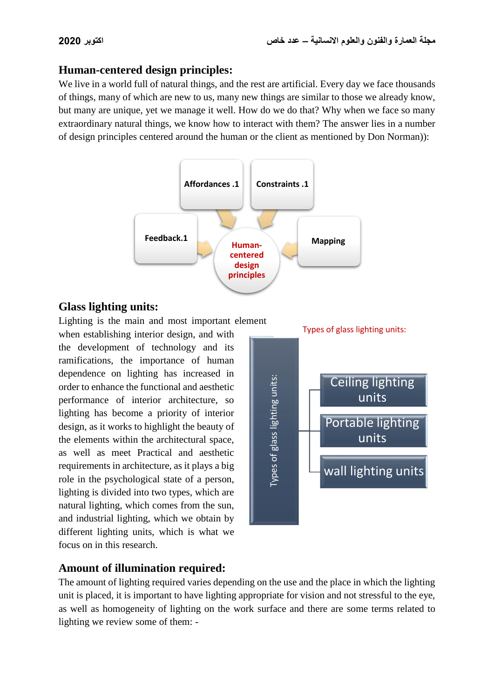## **Human-centered design principles:**

We live in a world full of natural things, and the rest are artificial. Every day we face thousands of things, many of which are new to us, many new things are similar to those we already know, but many are unique, yet we manage it well. How do we do that? Why when we face so many extraordinary natural things, we know how to interact with them? The answer lies in a number of design principles centered around the human or the client as mentioned by Don Norman)):



## **Glass lighting units:**

Lighting is the main and most important element

when establishing interior design, and with the development of technology and its ramifications, the importance of human dependence on lighting has increased in order to enhance the functional and aesthetic performance of interior architecture, so lighting has become a priority of interior design, as it works to highlight the beauty of the elements within the architectural space, as well as meet Practical and aesthetic requirements in architecture, as it plays a big role in the psychological state of a person, lighting is divided into two types, which are natural lighting, which comes from the sun, and industrial lighting, which we obtain by different lighting units, which is what we focus on in this research.



## **Amount of illumination required:**

The amount of lighting required varies depending on the use and the place in which the lighting unit is placed, it is important to have lighting appropriate for vision and not stressful to the eye, as well as homogeneity of lighting on the work surface and there are some terms related to lighting we review some of them: -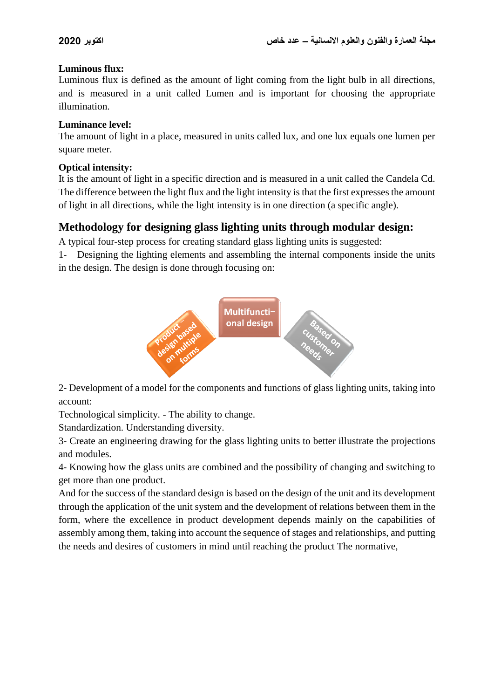### **Luminous flux:**

Luminous flux is defined as the amount of light coming from the light bulb in all directions, and is measured in a unit called Lumen and is important for choosing the appropriate illumination.

### **Luminance level:**

The amount of light in a place, measured in units called lux, and one lux equals one lumen per square meter.

### **Optical intensity:**

It is the amount of light in a specific direction and is measured in a unit called the Candela Cd. The difference between the light flux and the light intensity is that the first expresses the amount of light in all directions, while the light intensity is in one direction (a specific angle).

## **Methodology for designing glass lighting units through modular design:**

A typical four-step process for creating standard glass lighting units is suggested:

1- Designing the lighting elements and assembling the internal components inside the units in the design. The design is done through focusing on:



2- Development of a model for the components and functions of glass lighting units, taking into account:

Technological simplicity. - The ability to change.

Standardization. Understanding diversity.

3- Create an engineering drawing for the glass lighting units to better illustrate the projections and modules.

4- Knowing how the glass units are combined and the possibility of changing and switching to get more than one product.

And for the success of the standard design is based on the design of the unit and its development through the application of the unit system and the development of relations between them in the form, where the excellence in product development depends mainly on the capabilities of assembly among them, taking into account the sequence of stages and relationships, and putting the needs and desires of customers in mind until reaching the product The normative,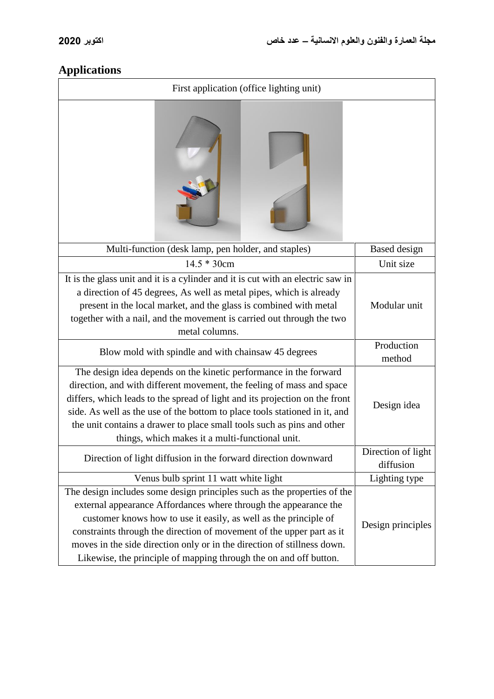# **Applications**

| First application (office lighting unit)                                                                                                                                                                                                                                                                                                                                                                                                  |                                 |  |  |  |
|-------------------------------------------------------------------------------------------------------------------------------------------------------------------------------------------------------------------------------------------------------------------------------------------------------------------------------------------------------------------------------------------------------------------------------------------|---------------------------------|--|--|--|
|                                                                                                                                                                                                                                                                                                                                                                                                                                           |                                 |  |  |  |
| Multi-function (desk lamp, pen holder, and staples)                                                                                                                                                                                                                                                                                                                                                                                       | <b>Based</b> design             |  |  |  |
| $14.5 * 30cm$                                                                                                                                                                                                                                                                                                                                                                                                                             | Unit size                       |  |  |  |
| It is the glass unit and it is a cylinder and it is cut with an electric saw in<br>a direction of 45 degrees, As well as metal pipes, which is already<br>present in the local market, and the glass is combined with metal<br>together with a nail, and the movement is carried out through the two<br>metal columns.                                                                                                                    | Modular unit                    |  |  |  |
| Blow mold with spindle and with chainsaw 45 degrees                                                                                                                                                                                                                                                                                                                                                                                       | Production<br>method            |  |  |  |
| The design idea depends on the kinetic performance in the forward<br>direction, and with different movement, the feeling of mass and space<br>differs, which leads to the spread of light and its projection on the front<br>side. As well as the use of the bottom to place tools stationed in it, and<br>the unit contains a drawer to place small tools such as pins and other<br>things, which makes it a multi-functional unit.      | Design idea                     |  |  |  |
| Direction of light diffusion in the forward direction downward                                                                                                                                                                                                                                                                                                                                                                            | Direction of light<br>diffusion |  |  |  |
| Venus bulb sprint 11 watt white light                                                                                                                                                                                                                                                                                                                                                                                                     | Lighting type                   |  |  |  |
| The design includes some design principles such as the properties of the<br>external appearance Affordances where through the appearance the<br>customer knows how to use it easily, as well as the principle of<br>constraints through the direction of movement of the upper part as it<br>moves in the side direction only or in the direction of stillness down.<br>Likewise, the principle of mapping through the on and off button. | Design principles               |  |  |  |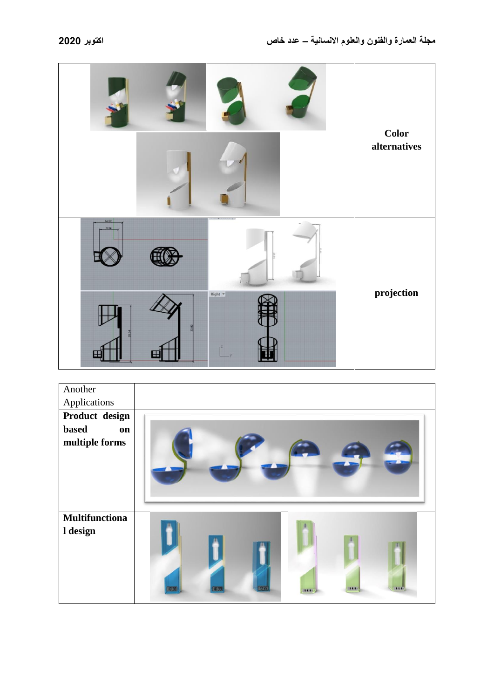|               |                | <b>Color</b><br>alternatives |
|---------------|----------------|------------------------------|
| 14.52<br>9.34 |                |                              |
|               | $Right$ $\neq$ | projection                   |

| Another                           |                                                |
|-----------------------------------|------------------------------------------------|
| Applications                      |                                                |
| Product design                    |                                                |
| <b>based</b><br>on                |                                                |
| multiple forms                    |                                                |
| <b>Multifunctiona</b><br>I design | 10:36<br><b>LLE</b><br><b>LLE</b><br>$E \to E$ |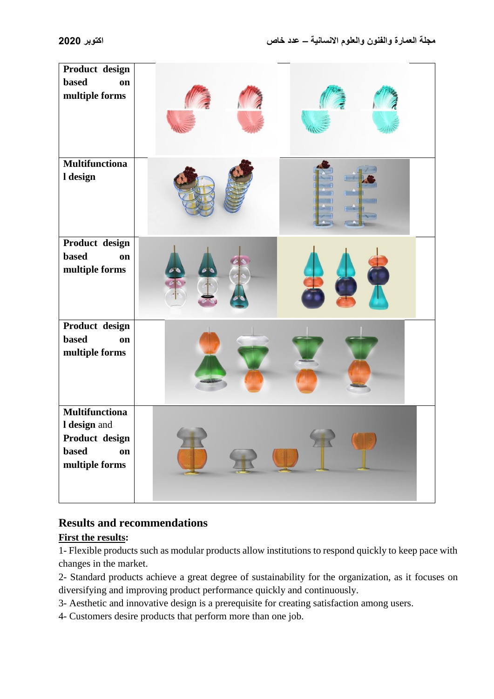| Product design<br><b>based</b><br>on<br>multiple forms                                   |  |
|------------------------------------------------------------------------------------------|--|
| <b>Multifunctiona</b><br>l design                                                        |  |
| Product design<br><b>based</b><br>on<br>multiple forms                                   |  |
| Product design<br><b>based</b><br>on<br>multiple forms                                   |  |
| <b>Multifunctiona</b><br>I design and<br>Product design<br>based<br>on<br>multiple forms |  |

## **Results and recommendations**

### **First the results:**

1- Flexible products such as modular products allow institutions to respond quickly to keep pace with changes in the market.

2- Standard products achieve a great degree of sustainability for the organization, as it focuses on diversifying and improving product performance quickly and continuously.

3- Aesthetic and innovative design is a prerequisite for creating satisfaction among users.

4- Customers desire products that perform more than one job.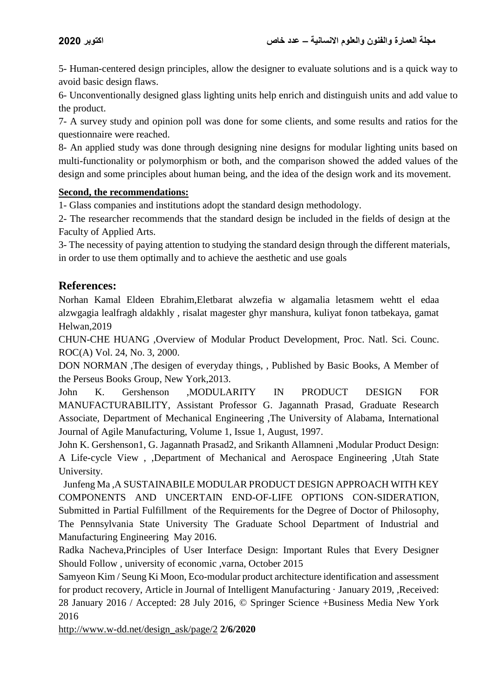5- Human-centered design principles, allow the designer to evaluate solutions and is a quick way to avoid basic design flaws.

6- Unconventionally designed glass lighting units help enrich and distinguish units and add value to the product.

7- A survey study and opinion poll was done for some clients, and some results and ratios for the questionnaire were reached.

8- An applied study was done through designing nine designs for modular lighting units based on multi-functionality or polymorphism or both, and the comparison showed the added values of the design and some principles about human being, and the idea of the design work and its movement.

### **Second, the recommendations:**

1- Glass companies and institutions adopt the standard design methodology.

2- The researcher recommends that the standard design be included in the fields of design at the Faculty of Applied Arts.

3- The necessity of paying attention to studying the standard design through the different materials, in order to use them optimally and to achieve the aesthetic and use goals

## **References:**

Norhan Kamal Eldeen Ebrahim,Eletbarat alwzefia w algamalia letasmem wehtt el edaa alzwgagia lealfragh aldakhly , risalat magester ghyr manshura, kuliyat fonon tatbekaya, gamat Helwan,2019

CHUN-CHE HUANG ,Overview of Modular Product Development, Proc. Natl. Sci*.* Counc. ROC(A) Vol. 24, No. 3, 2000.

DON NORMAN ,The desigen of everyday things, , Published by Basic Books, A Member of the Perseus Books Group, New York,2013.

John K. Gershenson ,MODULARITY IN PRODUCT DESIGN FOR MANUFACTURABILITY, Assistant Professor G. Jagannath Prasad, Graduate Research Associate, Department of Mechanical Engineering ,The University of Alabama, International Journal of Agile Manufacturing, Volume 1, Issue 1, August, 1997.

John K. Gershenson1, G. Jagannath Prasad2, and Srikanth Allamneni ,Modular Product Design: A Life-cycle View , ,Department of Mechanical and Aerospace Engineering ,Utah State University.

 Junfeng Ma ,A SUSTAINABILE MODULAR PRODUCT DESIGN APPROACH WITH KEY COMPONENTS AND UNCERTAIN END-OF-LIFE OPTIONS CON-SIDERATION, Submitted in Partial Fulfillment of the Requirements for the Degree of Doctor of Philosophy, The Pennsylvania State University The Graduate School Department of Industrial and Manufacturing Engineering May 2016.

Radka Nacheva,Principles of User Interface Design: Important Rules that Every Designer Should Follow , university of economic ,varna, October 2015

Samyeon Kim / Seung Ki Moon, Eco-modular product architecture identification and assessment for product recovery, Article in Journal of Intelligent Manufacturing · January 2019, ,Received: 28 January 2016 / Accepted: 28 July 2016, © Springer Science +Business Media New York 2016

[http://www.w-dd.net/design\\_ask/page/2](http://www.w-dd.net/design_ask/page/2) **2/6/2020**